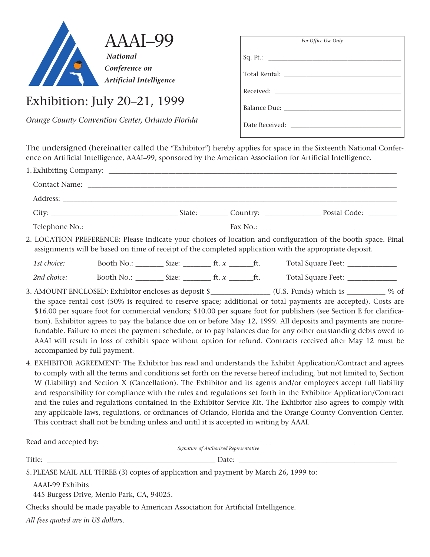

Exhibition: July 20–21, 1999

*Orange County Convention Center, Orlando Florida*

| For Office Use Only |  |  |  |  |  |  |
|---------------------|--|--|--|--|--|--|
|                     |  |  |  |  |  |  |
|                     |  |  |  |  |  |  |
|                     |  |  |  |  |  |  |
|                     |  |  |  |  |  |  |
| Date Received:      |  |  |  |  |  |  |

The undersigned (hereinafter called the "Exhibitor") hereby applies for space in the Sixteenth National Conference on Artificial Intelligence, AAAI–99, sponsored by the American Association for Artificial Intelligence.

|             | Contact Name: Name: Name: Name: Name: Name: Name: Name: Name: Name: Name: Name: Name: Name: Name: Name: Name: Name: Name: Name: Name: Name: Name: Name: Name: Name: Name: Name: Name: Name: Name: Name: Name: Name: Name: Name |                                        |                                                                                                                                                                                                                                                                                                                                                                                                                                                                                                                                                                                                                                                                                                           |
|-------------|--------------------------------------------------------------------------------------------------------------------------------------------------------------------------------------------------------------------------------|----------------------------------------|-----------------------------------------------------------------------------------------------------------------------------------------------------------------------------------------------------------------------------------------------------------------------------------------------------------------------------------------------------------------------------------------------------------------------------------------------------------------------------------------------------------------------------------------------------------------------------------------------------------------------------------------------------------------------------------------------------------|
|             |                                                                                                                                                                                                                                |                                        |                                                                                                                                                                                                                                                                                                                                                                                                                                                                                                                                                                                                                                                                                                           |
|             |                                                                                                                                                                                                                                |                                        |                                                                                                                                                                                                                                                                                                                                                                                                                                                                                                                                                                                                                                                                                                           |
|             |                                                                                                                                                                                                                                |                                        |                                                                                                                                                                                                                                                                                                                                                                                                                                                                                                                                                                                                                                                                                                           |
|             |                                                                                                                                                                                                                                |                                        | 2. LOCATION PREFERENCE: Please indicate your choices of location and configuration of the booth space. Final<br>assignments will be based on time of receipt of the completed application with the appropriate deposit.                                                                                                                                                                                                                                                                                                                                                                                                                                                                                   |
| 1st choice: |                                                                                                                                                                                                                                |                                        |                                                                                                                                                                                                                                                                                                                                                                                                                                                                                                                                                                                                                                                                                                           |
| 2nd choice: |                                                                                                                                                                                                                                |                                        | Booth No.: Size: Size: ft. x ft. Total Square Feet:                                                                                                                                                                                                                                                                                                                                                                                                                                                                                                                                                                                                                                                       |
|             | accompanied by full payment.                                                                                                                                                                                                   |                                        | the space rental cost (50% is required to reserve space; additional or total payments are accepted). Costs are<br>\$16.00 per square foot for commercial vendors; \$10.00 per square foot for publishers (see Section E for clarifica-<br>tion). Exhibitor agrees to pay the balance due on or before May 12, 1999. All deposits and payments are nonre-<br>fundable. Failure to meet the payment schedule, or to pay balances due for any other outstanding debts owed to<br>AAAI will result in loss of exhibit space without option for refund. Contracts received after May 12 must be                                                                                                                |
|             | This contract shall not be binding unless and until it is accepted in writing by AAAI.                                                                                                                                         |                                        | 4. EXHIBITOR AGREEMENT: The Exhibitor has read and understands the Exhibit Application/Contract and agrees<br>to comply with all the terms and conditions set forth on the reverse hereof including, but not limited to, Section<br>W (Liability) and Section X (Cancellation). The Exhibitor and its agents and/or employees accept full liability<br>and responsibility for compliance with the rules and regulations set forth in the Exhibitor Application/Contract<br>and the rules and regulations contained in the Exhibitor Service Kit. The Exhibitor also agrees to comply with<br>any applicable laws, regulations, or ordinances of Orlando, Florida and the Orange County Convention Center. |
|             |                                                                                                                                                                                                                                | Signature of Authorized Representative |                                                                                                                                                                                                                                                                                                                                                                                                                                                                                                                                                                                                                                                                                                           |

Title: \_\_\_\_\_\_\_\_\_\_\_\_\_\_\_\_\_\_\_\_\_\_\_\_\_\_\_\_\_\_\_\_\_\_\_\_\_\_\_\_\_\_\_\_\_\_\_\_ Date: \_\_\_\_\_\_\_\_\_\_\_\_\_\_\_\_\_\_\_\_\_\_\_\_\_\_\_\_\_\_\_\_\_\_\_\_\_\_\_\_\_\_\_\_\_

5.PLEASE MAIL ALL THREE (3) copies of application and payment by March 26, 1999 to:

AAAI-99 Exhibits

445 Burgess Drive, Menlo Park, CA, 94025.

Checks should be made payable to American Association for Artificial Intelligence.

*All fees quoted are in US dollars.*